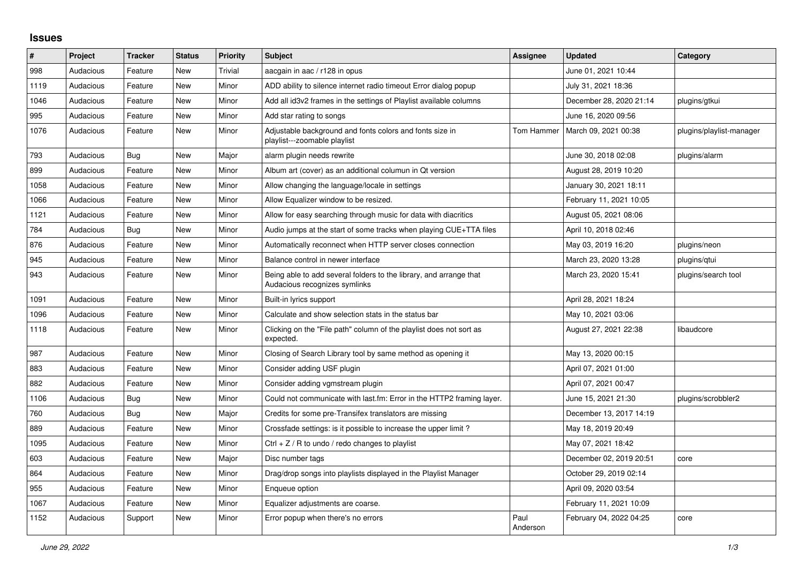## **Issues**

| #    | Project   | <b>Tracker</b> | <b>Status</b> | <b>Priority</b> | <b>Subject</b>                                                                                      | <b>Assignee</b>  | <b>Updated</b>          | Category                 |
|------|-----------|----------------|---------------|-----------------|-----------------------------------------------------------------------------------------------------|------------------|-------------------------|--------------------------|
| 998  | Audacious | Feature        | <b>New</b>    | Trivial         | aacgain in aac / r128 in opus                                                                       |                  | June 01, 2021 10:44     |                          |
| 1119 | Audacious | Feature        | <b>New</b>    | Minor           | ADD ability to silence internet radio timeout Error dialog popup                                    |                  | July 31, 2021 18:36     |                          |
| 1046 | Audacious | Feature        | New           | Minor           | Add all id3v2 frames in the settings of Playlist available columns                                  |                  | December 28, 2020 21:14 | plugins/gtkui            |
| 995  | Audacious | Feature        | <b>New</b>    | Minor           | Add star rating to songs                                                                            |                  | June 16, 2020 09:56     |                          |
| 1076 | Audacious | Feature        | <b>New</b>    | Minor           | Adjustable background and fonts colors and fonts size in<br>playlist---zoomable playlist            | Tom Hammer       | March 09, 2021 00:38    | plugins/playlist-manager |
| 793  | Audacious | Bug            | <b>New</b>    | Major           | alarm plugin needs rewrite                                                                          |                  | June 30, 2018 02:08     | plugins/alarm            |
| 899  | Audacious | Feature        | <b>New</b>    | Minor           | Album art (cover) as an additional columun in Qt version                                            |                  | August 28, 2019 10:20   |                          |
| 1058 | Audacious | Feature        | New           | Minor           | Allow changing the language/locale in settings                                                      |                  | January 30, 2021 18:11  |                          |
| 1066 | Audacious | Feature        | New           | Minor           | Allow Equalizer window to be resized.                                                               |                  | February 11, 2021 10:05 |                          |
| 1121 | Audacious | Feature        | <b>New</b>    | Minor           | Allow for easy searching through music for data with diacritics                                     |                  | August 05, 2021 08:06   |                          |
| 784  | Audacious | <b>Bug</b>     | <b>New</b>    | Minor           | Audio jumps at the start of some tracks when playing CUE+TTA files                                  |                  | April 10, 2018 02:46    |                          |
| 876  | Audacious | Feature        | <b>New</b>    | Minor           | Automatically reconnect when HTTP server closes connection                                          |                  | May 03, 2019 16:20      | plugins/neon             |
| 945  | Audacious | Feature        | <b>New</b>    | Minor           | Balance control in newer interface                                                                  |                  | March 23, 2020 13:28    | plugins/gtui             |
| 943  | Audacious | Feature        | New           | Minor           | Being able to add several folders to the library, and arrange that<br>Audacious recognizes symlinks |                  | March 23, 2020 15:41    | plugins/search tool      |
| 1091 | Audacious | Feature        | <b>New</b>    | Minor           | Built-in lyrics support                                                                             |                  | April 28, 2021 18:24    |                          |
| 1096 | Audacious | Feature        | <b>New</b>    | Minor           | Calculate and show selection stats in the status bar                                                |                  | May 10, 2021 03:06      |                          |
| 1118 | Audacious | Feature        | New           | Minor           | Clicking on the "File path" column of the playlist does not sort as<br>expected.                    |                  | August 27, 2021 22:38   | libaudcore               |
| 987  | Audacious | Feature        | New           | Minor           | Closing of Search Library tool by same method as opening it                                         |                  | May 13, 2020 00:15      |                          |
| 883  | Audacious | Feature        | <b>New</b>    | Minor           | Consider adding USF plugin                                                                          |                  | April 07, 2021 01:00    |                          |
| 882  | Audacious | Feature        | New           | Minor           | Consider adding vgmstream plugin                                                                    |                  | April 07, 2021 00:47    |                          |
| 1106 | Audacious | <b>Bug</b>     | <b>New</b>    | Minor           | Could not communicate with last.fm: Error in the HTTP2 framing layer.                               |                  | June 15, 2021 21:30     | plugins/scrobbler2       |
| 760  | Audacious | Bug            | <b>New</b>    | Major           | Credits for some pre-Transifex translators are missing                                              |                  | December 13, 2017 14:19 |                          |
| 889  | Audacious | Feature        | <b>New</b>    | Minor           | Crossfade settings: is it possible to increase the upper limit?                                     |                  | May 18, 2019 20:49      |                          |
| 1095 | Audacious | Feature        | New           | Minor           | Ctrl $+$ Z / R to undo / redo changes to playlist                                                   |                  | May 07, 2021 18:42      |                          |
| 603  | Audacious | Feature        | New           | Major           | Disc number tags                                                                                    |                  | December 02, 2019 20:51 | core                     |
| 864  | Audacious | Feature        | <b>New</b>    | Minor           | Drag/drop songs into playlists displayed in the Playlist Manager                                    |                  | October 29, 2019 02:14  |                          |
| 955  | Audacious | Feature        | <b>New</b>    | Minor           | Enqueue option                                                                                      |                  | April 09, 2020 03:54    |                          |
| 1067 | Audacious | Feature        | <b>New</b>    | Minor           | Equalizer adjustments are coarse.                                                                   |                  | February 11, 2021 10:09 |                          |
| 1152 | Audacious | Support        | New           | Minor           | Error popup when there's no errors                                                                  | Paul<br>Anderson | February 04, 2022 04:25 | core                     |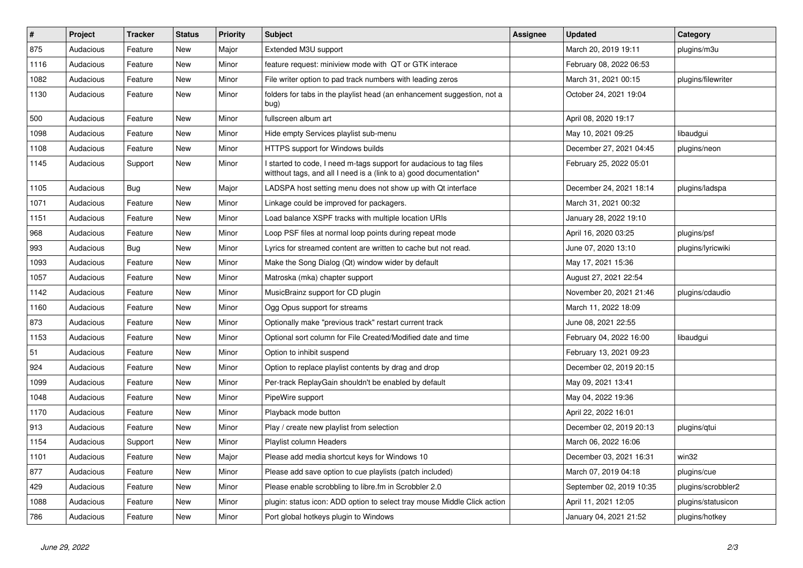| $\sharp$ | Project   | <b>Tracker</b> | <b>Status</b> | Priority | <b>Subject</b>                                                                                                                            | <b>Assignee</b> | <b>Updated</b>           | Category           |
|----------|-----------|----------------|---------------|----------|-------------------------------------------------------------------------------------------------------------------------------------------|-----------------|--------------------------|--------------------|
| 875      | Audacious | Feature        | New           | Major    | Extended M3U support                                                                                                                      |                 | March 20, 2019 19:11     | plugins/m3u        |
| 1116     | Audacious | Feature        | New           | Minor    | feature request: miniview mode with QT or GTK interace                                                                                    |                 | February 08, 2022 06:53  |                    |
| 1082     | Audacious | Feature        | New           | Minor    | File writer option to pad track numbers with leading zeros                                                                                |                 | March 31, 2021 00:15     | plugins/filewriter |
| 1130     | Audacious | Feature        | New           | Minor    | folders for tabs in the playlist head (an enhancement suggestion, not a<br>bug)                                                           |                 | October 24, 2021 19:04   |                    |
| 500      | Audacious | Feature        | <b>New</b>    | Minor    | fullscreen album art                                                                                                                      |                 | April 08, 2020 19:17     |                    |
| 1098     | Audacious | Feature        | <b>New</b>    | Minor    | Hide empty Services playlist sub-menu                                                                                                     |                 | May 10, 2021 09:25       | libaudgui          |
| 1108     | Audacious | Feature        | New           | Minor    | HTTPS support for Windows builds                                                                                                          |                 | December 27, 2021 04:45  | plugins/neon       |
| 1145     | Audacious | Support        | New           | Minor    | I started to code, I need m-tags support for audacious to tag files<br>witthout tags, and all I need is a (link to a) good documentation* |                 | February 25, 2022 05:01  |                    |
| 1105     | Audacious | Bug            | <b>New</b>    | Major    | LADSPA host setting menu does not show up with Qt interface                                                                               |                 | December 24, 2021 18:14  | plugins/ladspa     |
| 1071     | Audacious | Feature        | New           | Minor    | Linkage could be improved for packagers.                                                                                                  |                 | March 31, 2021 00:32     |                    |
| 1151     | Audacious | Feature        | New           | Minor    | Load balance XSPF tracks with multiple location URIs                                                                                      |                 | January 28, 2022 19:10   |                    |
| 968      | Audacious | Feature        | <b>New</b>    | Minor    | Loop PSF files at normal loop points during repeat mode                                                                                   |                 | April 16, 2020 03:25     | plugins/psf        |
| 993      | Audacious | <b>Bug</b>     | New           | Minor    | Lyrics for streamed content are written to cache but not read.                                                                            |                 | June 07, 2020 13:10      | plugins/lyricwiki  |
| 1093     | Audacious | Feature        | New           | Minor    | Make the Song Dialog (Qt) window wider by default                                                                                         |                 | May 17, 2021 15:36       |                    |
| 1057     | Audacious | Feature        | <b>New</b>    | Minor    | Matroska (mka) chapter support                                                                                                            |                 | August 27, 2021 22:54    |                    |
| 1142     | Audacious | Feature        | New           | Minor    | MusicBrainz support for CD plugin                                                                                                         |                 | November 20, 2021 21:46  | plugins/cdaudio    |
| 1160     | Audacious | Feature        | New           | Minor    | Ogg Opus support for streams                                                                                                              |                 | March 11, 2022 18:09     |                    |
| 873      | Audacious | Feature        | <b>New</b>    | Minor    | Optionally make "previous track" restart current track                                                                                    |                 | June 08, 2021 22:55      |                    |
| 1153     | Audacious | Feature        | <b>New</b>    | Minor    | Optional sort column for File Created/Modified date and time                                                                              |                 | February 04, 2022 16:00  | libaudgui          |
| 51       | Audacious | Feature        | New           | Minor    | Option to inhibit suspend                                                                                                                 |                 | February 13, 2021 09:23  |                    |
| 924      | Audacious | Feature        | New           | Minor    | Option to replace playlist contents by drag and drop                                                                                      |                 | December 02, 2019 20:15  |                    |
| 1099     | Audacious | Feature        | New           | Minor    | Per-track ReplayGain shouldn't be enabled by default                                                                                      |                 | May 09, 2021 13:41       |                    |
| 1048     | Audacious | Feature        | <b>New</b>    | Minor    | PipeWire support                                                                                                                          |                 | May 04, 2022 19:36       |                    |
| 1170     | Audacious | Feature        | <b>New</b>    | Minor    | Playback mode button                                                                                                                      |                 | April 22, 2022 16:01     |                    |
| 913      | Audacious | Feature        | New           | Minor    | Play / create new playlist from selection                                                                                                 |                 | December 02, 2019 20:13  | plugins/gtui       |
| 1154     | Audacious | Support        | New           | Minor    | Playlist column Headers                                                                                                                   |                 | March 06, 2022 16:06     |                    |
| 1101     | Audacious | Feature        | New           | Major    | Please add media shortcut keys for Windows 10                                                                                             |                 | December 03, 2021 16:31  | win32              |
| 877      | Audacious | Feature        | New           | Minor    | Please add save option to cue playlists (patch included)                                                                                  |                 | March 07, 2019 04:18     | plugins/cue        |
| 429      | Audacious | Feature        | <b>New</b>    | Minor    | Please enable scrobbling to libre.fm in Scrobbler 2.0                                                                                     |                 | September 02, 2019 10:35 | plugins/scrobbler2 |
| 1088     | Audacious | Feature        | New           | Minor    | plugin: status icon: ADD option to select tray mouse Middle Click action                                                                  |                 | April 11, 2021 12:05     | plugins/statusicon |
| 786      | Audacious | Feature        | New           | Minor    | Port global hotkeys plugin to Windows                                                                                                     |                 | January 04, 2021 21:52   | plugins/hotkey     |